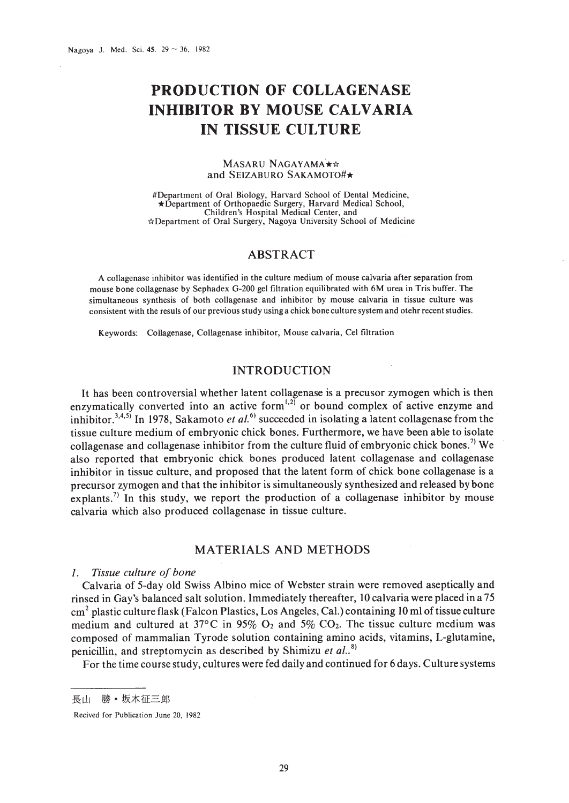# **PRODUCTION OF COLLAGENASE INHIBITOR BY MOUSE CALVARIA IN TISSUE CULTURE**

#### MASARU NAGAYAMA\*\* and SEIZABURO SAKAMOTO#\*

#Department of Oral Biology, Harvard School of Dental Medicine, \*Department of Orthopaedic Surgery, Harvard Medical School, Children's Hospital Medical Center, and \*Department of Oral Surgery, Nagoya University School of Medicine

# ABSTRACT

Acollagenase inhibitor was identified in the culture medium of mouse calvaria after separation from mouse bone collagenase by Sephadex G-200 gel filtration equilibrated with 6M urea in Tris buffer. The simultaneous synthesis of both collagenase and inhibitor by mouse calvaria in tissue culture was consistent with the resuls of our previous study using a chick bone culture system and otehr recent studies.

Keywords: Collagenase, Collagenase inhibitor, Mouse calvaria, Cel filtration

# INTRODUCTION

It has been controversial whether latent collagenase is a precusor zymogen which is then It has been controversian whether fatent conagenast is a precusor zymogen which is then<br>enzymatically converted into an active form $^{1,2)}$  or bound complex of active enzyme and inhibitor.<sup>3,4,5)</sup> In 1978, Sakamoto *et al.*<sup>6)</sup> succeeded in isolating a latent collagenase from the tissue culture medium of embryonic chick bones. Furthermore, we have been able to isolate collagenase and collagenase inhibitor from the culture fluid of embryonic chick bones.<sup>7)</sup> We also reported that embryonic chick bones produced latent collagenase and collagenase inhibitor in tissue culture, and proposed that the latent form of chick bone collagenase is a precursor zymogen and that the inhibitor is simultaneously synthesized and released by bone explants.<sup>7)</sup> In this study, we report the production of a collagenase inhibitor by mouse calvaria which also produced collagenase in tissue culture.

# MATERIALS AND METHODS

### I. *Tissue culture of bone*

Calvaria of 5-day old Swiss Albino mice of Webster strain were removed aseptically and rinsed in Gay's balanced salt solution. Immediately thereafter, 10 calvaria were placed in a 75 cm2 plastic culture flask (Falcon Plastics, Los Angeles, Cal.) containing 10 ml oftissue culture medium and cultured at 37 $\degree$ C in 95% O<sub>2</sub> and 5% CO<sub>2</sub>. The tissue culture medium was composed of mammalian Tyrode solution containing amino acids, vitamins, L-glutamine, penicillin, and streptomycin as described by Shimizu *et al..* 8)

For the time course study, cultures were fed daily and continued for 6 days. Culture systems

長山 勝·坂本征三郎

Recived for Publication June 20, 1982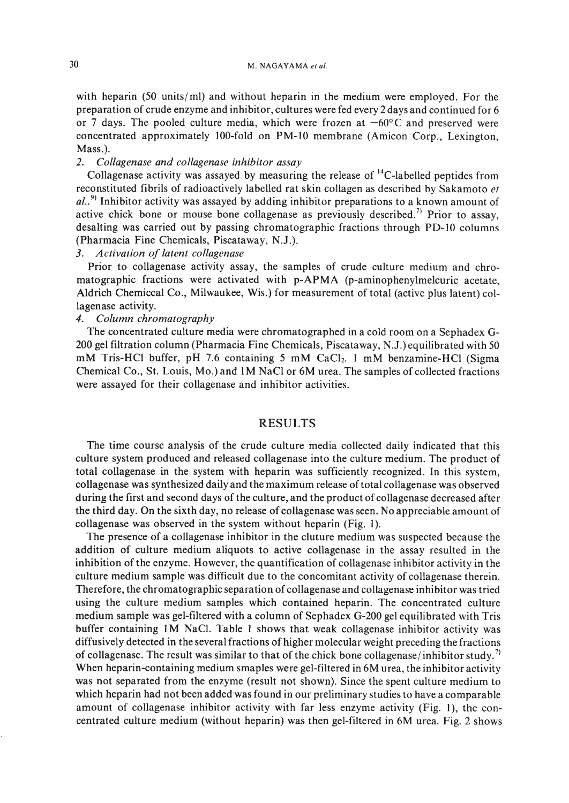with heparin (50 units/ml) and without heparin in the medium were employed. For the preparation of crude enzyme and inhibitor, cultures were fed every 2 days and continued for 6 or 7 days. The pooled culture media, which were frozen at  $-60^{\circ}$ C and preserved were concentrated approximately IOO-fold on PM-IO membrane (Amicon Corp., Lexington, Mass.).

## *2. Collagenase and collagenase inhibitor assay*

Collagenase activity was assayed by measuring the release of  $^{14}$ C-labelled peptides from reconstituted fibrils of radioactively labelled rat skin collagen as described by Sakamoto *et* al..<sup>9</sup> Inhibitor activity was assayed by adding inhibitor preparations to a known amount of active chick bone or mouse bone collagenase as previously described.<sup>7)</sup> Prior to assay, desalting was carried out by passing chromatographic fractions through PD-IO columns (Pharmacia Fine Chemicals, Piscataway, N.J.).

#### *3. Activation of latent collagenase*

Prior to collagenase activity assay, the samples of crude culture medium and chromatographic fractions were activated with p-APMA (p-aminophenylmelcuric acetate, Aldrich Chemiccal Co., Milwaukee, Wis.) for measurement of total (active plus latent) collagenase activity.

## *4. Column chromatography*

The concentrated culture media were chromatographed in a cold room on a Sephadex G-200 gel filtration column (Pharmacia Fine Chemicals, Piscataway, N.J.) equilibrated with 50 mM Tris-HCl buffer, pH 7.6 containing 5 mM CaCl<sub>2</sub>. 1 mM benzamine-HCl (Sigma Chemical Co., St. Louis, Mo.) and 1M NaCI or 6M urea. The samples of collected fractions were assayed for their collagenase and inhibitor activities.

### RESULTS

The time course analysis of the crude culture media collected daily indicated that this culture system produced and released collagenase into the culture medium. The product of total collagenase in the system with heparin was sufficiently recognized. In this system, collagenase was synthesized daily and the maximum release oftotal collagenase was observed during the first and second days of the culture, and the product of collagenase decreased after the third day. On the sixth day, no release of collagenase was seen. No appreciable amount of collagenase was observed in the system without heparin (Fig. I).

The presence of a collagenase inhibitor in the cluture medium was suspected because the addition of culture medium aliquots to active collagenase in the assay resulted in the inhibition of the enzyme. However, the quantification of collagenase inhibitor activity in the culture medium sample was difficult due to the concomitant activity of collagenase therein. Therefore, the chromatographic separation of collagenase and collagenase inhibitor was tried using the culture medium samples which contained heparin. The concentrated culture medium sample was gel-filtered with a column of Sephadex G-200 gel equilibrated with Tris buffer containing 1M NaCI. Table I shows that weak collagenase inhibitor activity was diffusively detected in the several fractions of higher molecular weight preceding the fractions of collagenase. The result was similar to that of the chick bone collagenase/inhibitor study.<sup>7)</sup> When heparin-containing medium smaples were gel-filtered in 6M urea, the inhibitor activity was not separated from the enzyme (result not shown). Since the spent culture medium to which heparin had not been added was found in our preliminary studies to have a comparable amount of collagenase inhibitor activity with far less enzyme activity (Fig. I), the concentrated culture medium (without heparin) was then gel-filtered in 6M urea. Fig. 2 shows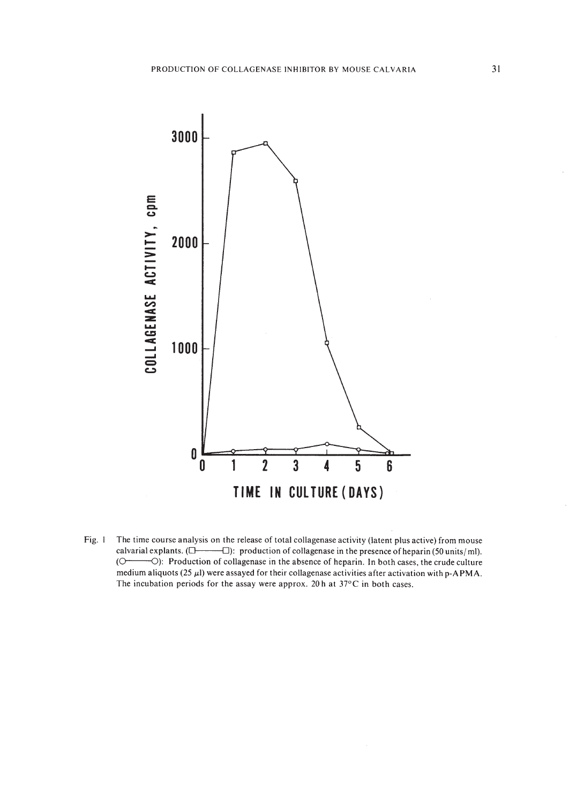

Fig. I The time course analysis on the release of total collagenase activity (latent plus active) from mouse calvarial explants.  $(\Box \longrightarrow \Box)$ : production of collagenase in the presence of heparin (50 units/ml). (O<sup>------</sup>O): Production of collagenase in the absence of heparin. In both cases, the crude culture medium aliquots (25  $\mu$ l) were assayed for their collagenase activities after activation with p-APMA. The incubation periods for the assay were approx. 20 h at 37°C in both cases.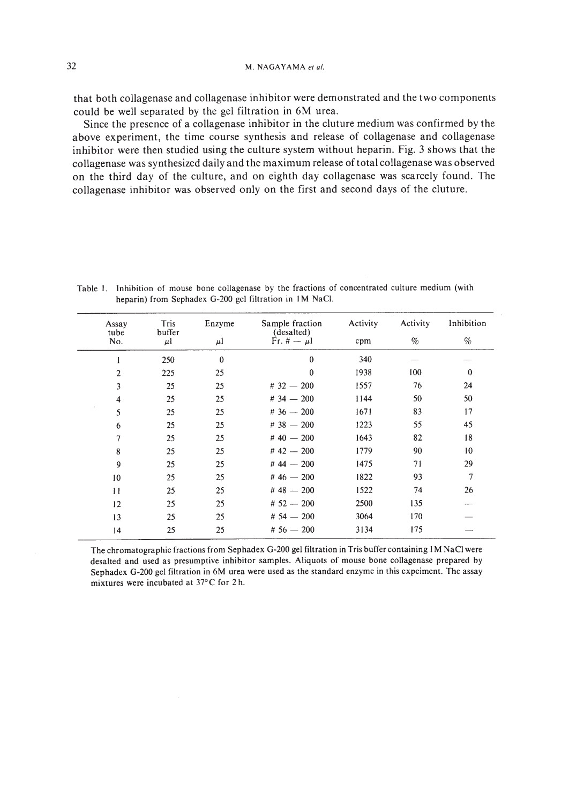that both collagenase and collagenase inhibitor were demonstrated and the two components could be well separated by the gel filtration in 6M urea.

Since the presence of a collagenase inhibitor in the cluture medium was confirmed by the above experiment, the time course synthesis and release of collagenase and collagenase inhibitor were then studied using the culture system without heparin. Fig. 3 shows that the collagenase was synthesized daily and the maximum release oftotal collagenase was observed on the third day of the culture, and on eighth day collagenase was scarcely found. The collagenase inhibitor was observed only on the first and second days of the cluture.

| Assay<br>tube    | Tris<br>buffer | Enzyme       | Sample fraction<br>(desalted) | Activity | Activity | Inhibition     |
|------------------|----------------|--------------|-------------------------------|----------|----------|----------------|
| No.              | $\mu$          | $\mu$        | Fr. $\ddot{r} - \mu l$        | cpm      | %        | %              |
|                  | 250            | $\mathbf{0}$ | $\theta$                      | 340      |          |                |
| $\overline{c}$   | 225            | 25           | $\mathbf{0}$                  | 1938     | 100      | $\theta$       |
| 3                | 25             | 25           | $#32 - 200$                   | 1557     | 76       | 24             |
| 4                | 25             | 25           | $#34 - 200$                   | 1144     | 50       | 50             |
| 5                | 25             | 25           | $#36 - 200$                   | 1671     | 83       | 17             |
| 6                | 25             | 25           | $#38 - 200$                   | 1223     | 55       | 45             |
| $\overline{7}$   | 25             | 25           | $#40 - 200$                   | 1643     | 82       | 18             |
| 8                | 25             | 25           | $#42 - 200$                   | 1779     | 90       | 10             |
| $\boldsymbol{9}$ | 25             | 25           | # $44 - 200$                  | 1475     | 71       | 29             |
| 10               | 25             | 25           | # $46 - 200$                  | 1822     | 93       | $\overline{7}$ |
| $\mathbf{1}$     | 25             | 25           | $#48 - 200$                   | 1522     | 74       | 26             |
| 12               | 25             | 25           | $# 52 - 200$                  | 2500     | 135      |                |
| 13               | 25             | 25           | $#54 - 200$                   | 3064     | 170      |                |
| 14               | 25             | 25           | $#56 - 200$                   | 3134     | 175      |                |

Table I. Inhibition of mouse bone collagenase by the fractions of concentrated culture medium (with heparin) from Sephadex G-200 gel filtration in 1M NaCI.

The chromatographic fractions from Sephadex G-200 gel filtration in Tris buffer containing 1M NaCI were desalted and used as presumptive inhibitor samples. Aliquots of mouse bone collagenase prepared by Sephadex G-200 gel filtration in 6M urea were used as the standard enzyme in this expeiment. The assay mixtures were incubated at 37°C for 2 h.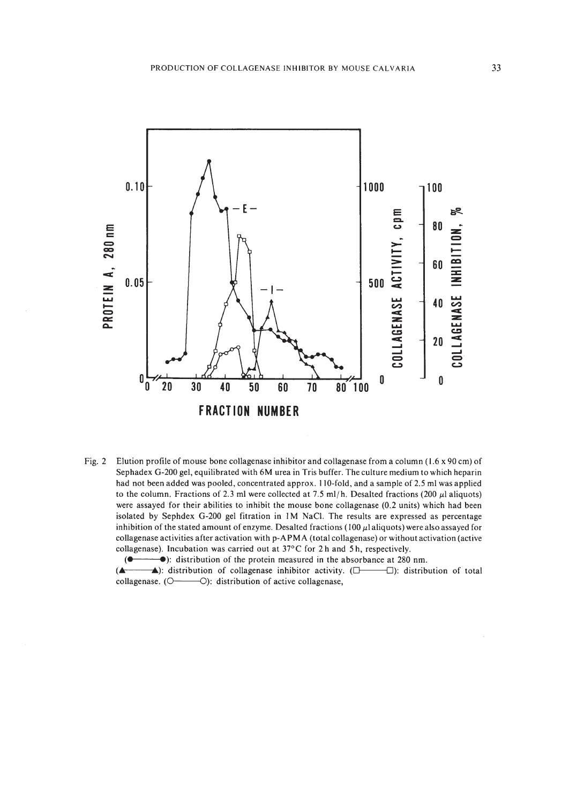

Fig. 2 Elution profile of mouse bone collagenase inhibitor and collagenase from a column (1.6 x 90 em) of Sephadex G-200 gel, equilibrated with 6M urea in Tris buffer. The culture medium to which heparin had not been added was pooled, concentrated approx. IIO-fold, and a sample of 2.5 ml was applied to the column. Fractions of 2.3 ml were collected at 7.5 ml/h. Desalted fractions (200  $\mu$ l aliquots) were assayed for their abilities to inhibit the mouse bone collagenase (0.2 units) which had been isolated by Sephdex G-200 gel fitration in 1M NaC!. The results are expressed as percentage inhibition of the stated amount of enzyme. Desalted fractions (100  $\mu$ l aliquots) were also assayed for collagenase activities after activation with p-APMA (total collagenase) or without activation (active collagenase). Incubation was carried out at 37°C for 2 hand 5 h, respectively.

**(** $\bullet$  $\bullet$ ): distribution of the protein measured in the absorbance at 280 nm.

**(A )**: distribution of collagenase inhibitor activity. ( $\Box$   $\Box$ ): distribution of total collagenase.  $(O \rightarrow O)$ : distribution of active collagenase,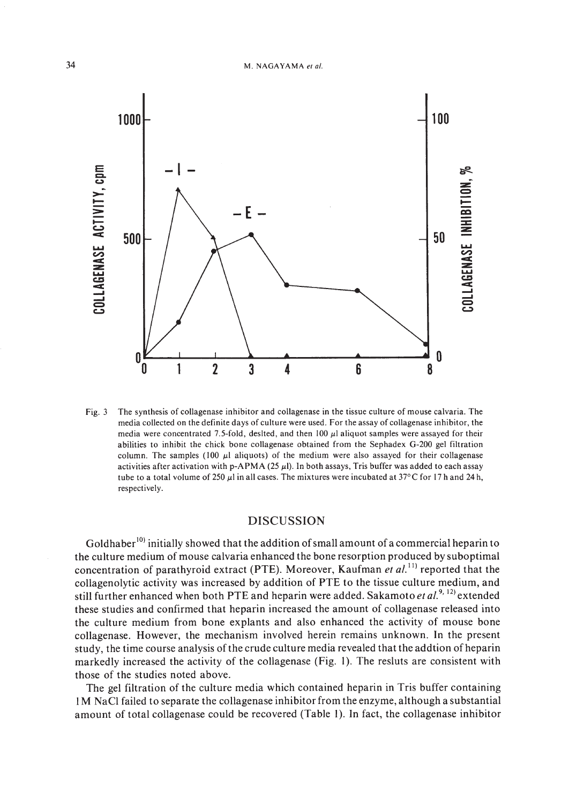

Fig. 3 The synthesis of collagenase inhibitor and collagenase in the tissue culture of mouse calvaria. The media collected on the definite days of culture were used. For the assay of collagenase inhibitor, the media were concentrated 7.5-fold, deslted, and then 100  $\mu$ l aliquot samples were assayed for their abilities to inhibit the chick bone collagenase obtained from the Sephadex G-200 gel filtration column. The samples (100  $\mu$ I aliquots) of the medium were also assayed for their collagenase activities after activation with p-APMA (25  $\mu$ ). In both assays, Tris buffer was added to each assay tube to a total volume of 250  $\mu$ I in all cases. The mixtures were incubated at 37°C for 17 h and 24 h, respectively.

## DISCUSSION

Goldhaber<sup>10)</sup> initially showed that the addition of small amount of a commercial heparin to the culture medium of mouse calvaria enhanced the bone resorption produced by suboptimal concentration of parathyroid extract (PTE). Moreover, Kaufman *et al*.<sup>11</sup> reported that the collagenolytic activity was increased by addition of PTE to the tissue culture medium, and still further enhanced when both PTE and heparin were added. Sakamoto *et al.* <sup>9, 12</sup> extended these studies and confirmed that heparin increased the amount of collagenase released into the culture medium from bone explants and also enhanced the activity of mouse bone collagenase. However, the mechanism involved herein remains unknown. In the present study, the time course analysis of the crude culture media revealed that the addtion of heparin markedly increased the activity of the collagenase (Fig. I). The resluts are consistent with those of the studies noted above.

The gel filtration of the culture media which contained heparin in Tris buffer containing 1M NaCI failed to separate the collagenase inhibitor from the enzyme, although a substantial amount of total collagenase could be recovered (Table 1). In fact, the collagenase inhibitor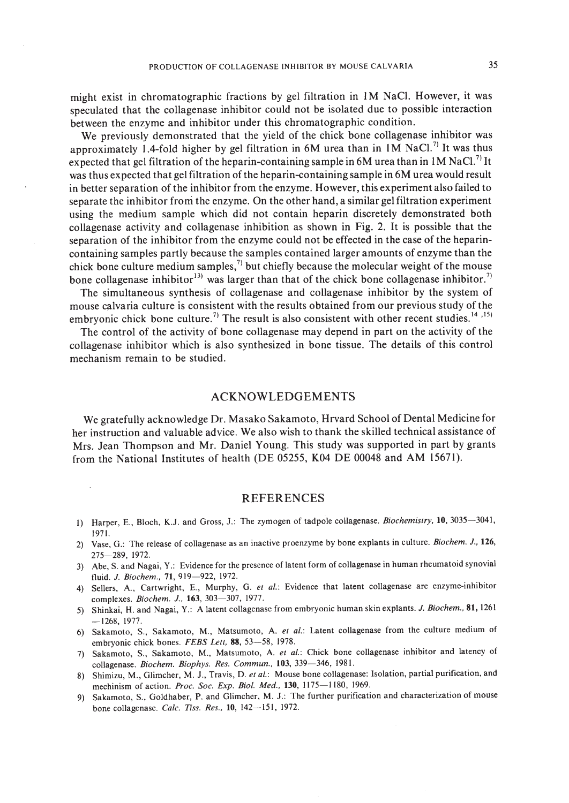might exist in chromatographic fractions by gel filtration in 1M NaC!. However, it was speculated that the collagenase inhibitor could not be isolated due to possible interaction between the enzyme and inhibitor under this chromatographic condition.

We previously demonstrated that the yield of the chick bone collagenase inhibitor was approximately 1.4-fold higher by gel filtration in 6M urea than in 1M NaCl.<sup>7)</sup> It was thus expected that gel filtration of the heparin-containing sample in 6M urea than in 1M NaCl.<sup>7)</sup> It was thus expected that gel filtration of the heparin-containing sample in 6M urea would result in better separation of the inhibitor from the enzyme. However, this experiment also failed to separate the inhibitor from the enzyme. On the other hand, a similar gel filtration experiment using the medium sample which did not contain heparin discretely demonstrated both collagenase activity and collagenase inhibition as shown in Fig. 2. It is possible that the separation of the inhibitor from the enzyme could not be effected in the case of the heparincontaining samples partly because the samples contained larger amounts of enzyme than the chick bone culture medium samples,<sup> $\eta$ </sup> but chiefly because the molecular weight of the mouse bone collagenase inhibitor<sup>13</sup> was larger than that of the chick bone collagenase inhibitor.<sup>7</sup>

The simultaneous synthesis of collagenase and collagenase inhibitor by the system of mouse calvaria culture is consistent with the results obtained from our previous study of the embryonic chick bone culture.<sup>7)</sup> The result is also consistent with other recent studies.<sup>14</sup>,<sup>15)</sup>

The control of the activity of bone collagenase may depend in part on the activity of the collagenase inhibitor which is also synthesized in bone tissue. The details of this control mechanism remain to be studied.

## ACKNOWLEDGEMENTS

We gratefully acknowledge Dr. Masako Sakamoto, Hrvard School of Dental Medicinefor her instruction and valuable advice. We also wish to thank the skilled technical assistance of Mrs. Jean Thompson and Mr. Daniel Young. This study was supported in part by grants from the National Institutes of health (DE 05255, K04 DE 00048 and AM 15671),

## REFERENCES

- I) Harper, E., Bloch, K.J. and Gross, J.: The zymogen of tadpole collagenase. *Biochemistry,* 10,3035-3041, 1971.
- 2) Vase, G.: The release of collagenase as an inactive proenzyme by bone explants in culture. *Biochem.* J., *126,* 275-289, 1972.
- 3) Abe, S. and Nagai, Y.: Evidence for the presence of latent form of collagenase in human rheumatoid synovial fluid. J. Biochem., 71, 919-922, 1972.
- 4) Sellers, A., Cartwright, E., Murphy, G. *et al.:* Evidence that latent collagenase are enzyme-inhibitor complexes. *Biochem. J.*, **163**, 303-307, 1977.
- 5) Shinkai, H. and Nagai, Y.: A latent collagenase from embryonic human skin explants. J. *Biochem.,* 81,1261 -1268, 1977.
- 6) Sakamoto, S., Sakamoto, M., Matsumoto, A. *et al.:* Latent collagenase from the culture medium of embryonic chick bones. *FEBS Lett*, 88, 53-58, 1978.
- 7) Sakamoto, S., Sakamoto, M., Matsumoto, A. *et al.:* Chick bone collagenase inhibitor and latency of collagenase. *Biochem. Biophys. Res. Commun.,* 103, 339-346, 1981.
- 8) Shimizu, M., Glimcher, M. J., Travis, D. *et al.:* Mouse bone collagenase: Isolation, partial purification, and mechinism of action. *Proc. Soc. Exp. Bioi. Med.,* 130, 1175-1180, 1969.
- 9) Sakamoto, S., Goldhaber, P. and Glimcher, M. J.: The further purification and characterization of mouse bone collagenase. *Calc. Tiss. Res.,* 10, 142-151, 1972.